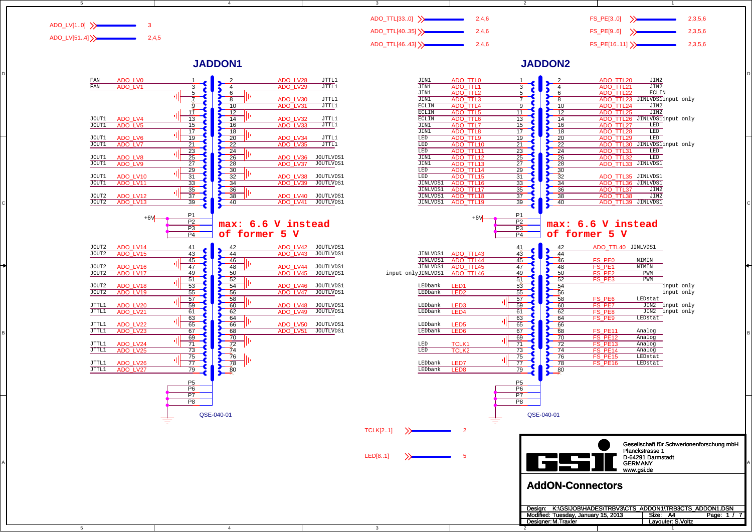

JTTL1 JTTL1 JTTL1 JTTL1 JTTL1 JTTL1JTTL1 JTTL1

3

3

### **JADDON1**

4

5

D

C

B

A

 $\overline{5}$ 



4



2

Designer: M. Traxler

2

1

1

M.Traxler **S.Voltz**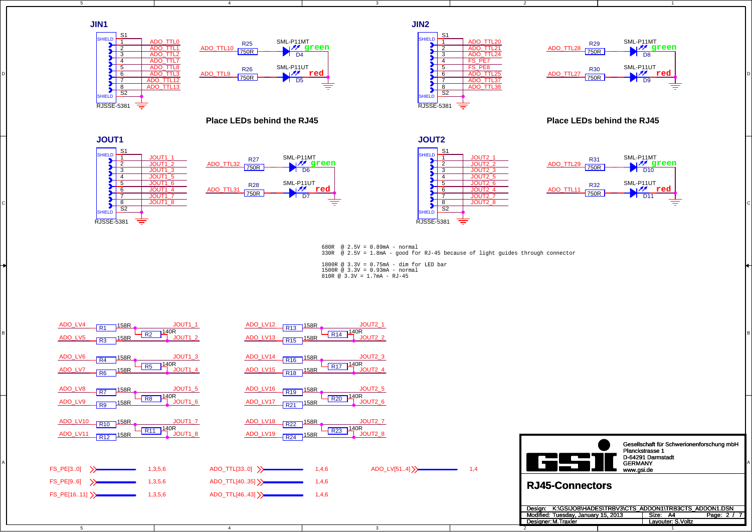

4

 $\overline{4}$ 

#### **Place LEDs behind the RJ45**



5

D

C

5





2

2



1

1

**Place LEDs behind the RJ45** 





680R @ 2.5V = 0.89mA - normal330R @ 2.5V = 1.8mA - good for RJ-45 because of light guides through connector

1800R @ 3.3V = 0.75mA - dim for LED bar1500R @ 3.3V = 0.93mA - normal 810R @ 3.3V = 1.7mA - RJ-45

3

| ADO_LV4<br>JOUT1 1<br>158R<br>$\overline{R1}$<br>$\frac{140R}{R^2}$<br>JOUT1 2<br>ADO_LV5<br>$-R3$ $158R$ | JOUT <sub>2</sub> 1<br>ADO_LV12<br>$-R13$ $158R$<br>$-$ R14 $\frac{140R}{ }$<br>JOUT2_2<br>ADO_LV13 R15 158R   |                                                                                                                                                                               |
|-----------------------------------------------------------------------------------------------------------|----------------------------------------------------------------------------------------------------------------|-------------------------------------------------------------------------------------------------------------------------------------------------------------------------------|
| JOUT1_3<br>ADO_LV6<br>$-158R$<br>R4<br>140R<br>R5<br>JOUT1 4<br>ADO_LV7<br>R6                             | JOUT2_3<br>ADO_LV14<br>$-R16$ $158R$<br>140R<br><b>R17</b><br>JOUT2_4<br>ADO_LV15 R18 158R                     |                                                                                                                                                                               |
| JOUT1_5<br>ADO_LV8<br>158R<br>$\overline{R7}$<br>JOUT1 6<br>ADO_LV9<br>FR9 158R                           | JOUT <sub>2</sub> 5<br>ADO_LV16<br>$-R19$ $158R$<br>140R<br><b>R20</b><br>JOUT2 6<br>ADO_LV17<br>$-R21$ $158R$ |                                                                                                                                                                               |
| JOUT <sub>1_7</sub><br>ADO_LV10<br>R <sub>10</sub> 158R<br>140R<br>ADO_LV11 R12 158R<br>JOUT1 8           | JOUT <sub>2</sub> 7<br>ADO_LV18<br>$-R22$ $158R$<br>140R<br>R <sub>23</sub><br>JOUT2 8<br>ADO_LV19 R24 158R    | Gesellschaft für Schwerionenforschung mbH                                                                                                                                     |
| FS_PE[30]<br>1,3,5,6                                                                                      | ADO_LV[514] >><br>$ADO_TTL[330]$ ><br>1,4,6<br>1,4                                                             | Planckstrasse 1<br>D-64291 Darmstadt<br><b>GERMANY</b><br>www.gsi.de                                                                                                          |
| FS_PE[96]<br>1,3,5,6<br>FS_PE[1611] >><br>1,3,5,6                                                         | ADO_TTL[4035] >><br>1,4,6<br>ADO_TTL[4643] >><br>1,4,6                                                         | <b>RJ45-Connectors</b>                                                                                                                                                        |
|                                                                                                           |                                                                                                                | K:\GSIJOB\HADES\TRBV3\CTS ADDON1\TRB3CTS ADDON1.DSN<br>Desian:<br>Size: A4<br>Modified: Tuesday, January 15, 2013<br>Page: 2 / 7<br>Designer: M. Traxler<br>Layouter: S.Voltz |

3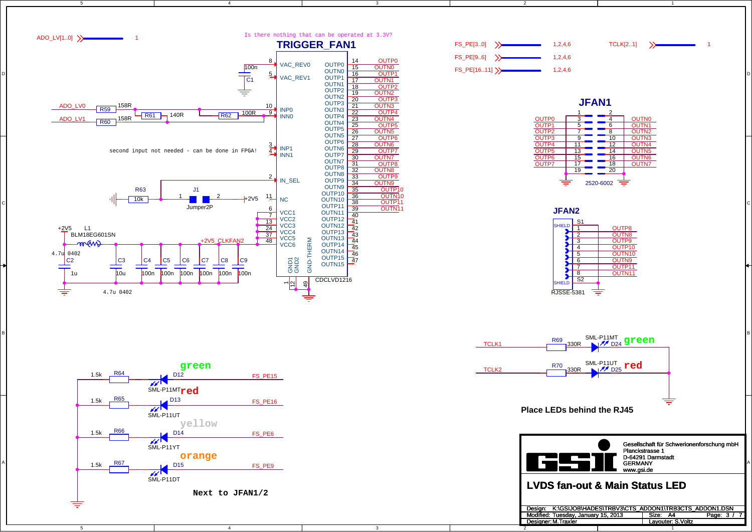

1

2







4

3

3

5

D

C

B

A

5



4

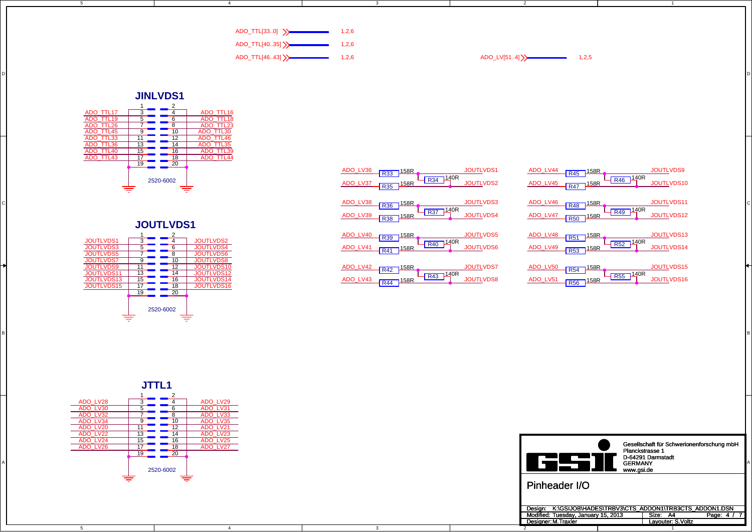| $\mathsf{ADO\_TTL}[330]$ >> | 1.2.6 |
|-----------------------------|-------|
|                             |       |
| ADO_TTL[4035] >>            | 1.2.6 |
| ADO_TTL[4643] >>            | 1,2,6 |

3

DI<br>DI

3

BI<br>BI

4

**JINLVDS1**

5

D

B





| 2520-6002                                                                                                                                            | JOUTLVDS1<br><b>JOUTLVDS9</b><br>ADO_LV36 R33 158R<br>ADO_LV44<br>$\frac{158R}{R}$<br>$R46$ $140R$<br>$-R34$ $14^{0R}$<br><b>JOUTLVDS2</b><br>ADO_LV45 R47 158R<br>JOUTLVDS10<br>ADO_LV37 R35 158R                |  |
|------------------------------------------------------------------------------------------------------------------------------------------------------|-------------------------------------------------------------------------------------------------------------------------------------------------------------------------------------------------------------------|--|
| <b>JOUTLVDS1</b>                                                                                                                                     | JOUTLVDS11<br><b>JOUTLVDS3</b><br>ADO_LV46<br>ADO_LV38 R36 158R<br>$R48$ $158R$<br>$-R37^{140R}$<br>$\frac{140R}{R49}$<br>JOUTLVDS4<br>JOUTLVDS12<br>ADO_LV39 R38 158R<br>ADO_LV47<br>$-R50$ $158R$               |  |
| <b>JOUTLVDS1</b><br><b>JOUTLVDS2</b><br><b>JOUTLVDS3</b><br>JOUTLVDS4<br><b>JOUTLVDS5</b><br><b>JOUTLVDS6</b><br><b>IOUTLVDS7</b><br><b>JOUTLVDS</b> | JOUTLVDS13<br><b>JOUTLVDS5</b><br>ADO_LV48<br>ADO_LV40 R39 158R<br>R51 158R<br>$-R52^{140R}$<br>$-R40$ $140R$<br>JOUTLVDS14<br><b>JOUTLVDS6</b><br>ADO_LV49 R53 158R<br>ADO_LV41 R41 158R                         |  |
| <b>OUTLVDS9</b><br>JOUTLVDS1<br><b>JOUTLVDS11</b><br>JOUTLVDS1<br><b>JOUTLVDS13</b><br>JOUTLVDS1<br>1015<br>$\overline{\phantom{a}}$<br>$\sim$       | JOUTLVDS15<br><b>JOUTLVDS7</b><br>ADO_LV42 R42 158R<br>ADO_LV50<br>R54 158R<br>$-R43^{140R}$<br>$-R55$ $14^{0R}$<br><b>JOUTLVDS8</b><br>JOUTLVDS16<br>ADO_LV43 R44 158R<br>ADO_LV51<br>$\frac{}{\sqrt{856}}$ 158R |  |

っ

Designer: M. Traxler

2

 $ADO_LV[51..4]$   $\rightarrow$  1,2,5

| Gesellschaft für Schwerionenforschung mbH<br>Planckstrasse 1<br>D-64291 Darmstadt<br><b>GERMANY</b><br>www.gsi.de | $\overline{\phantom{0}}$ | Pinheader I/O                                                                                                                       |
|-------------------------------------------------------------------------------------------------------------------|--------------------------|-------------------------------------------------------------------------------------------------------------------------------------|
|                                                                                                                   |                          |                                                                                                                                     |
|                                                                                                                   |                          |                                                                                                                                     |
|                                                                                                                   |                          | .<br>.<br>.<br>LV23<br>ADO<br><b>ADO LV22</b><br><b>ADO</b><br><b>NDO LV24</b><br>$\overline{\phantom{1}}$<br>ADO LV26<br>2520-6002 |

Design: K:\GSIJOB\HADES\TRBV3\CTS\_ADDON1\TRB3CTS\_ADDON1.DSN<br>Modified: Tuesday, January 15, 2013 | Size: A4 Page: 4 / 7

M.Traxler **S.Voltz** 

1

1



 $\overline{4}$ 

 $\overline{5}$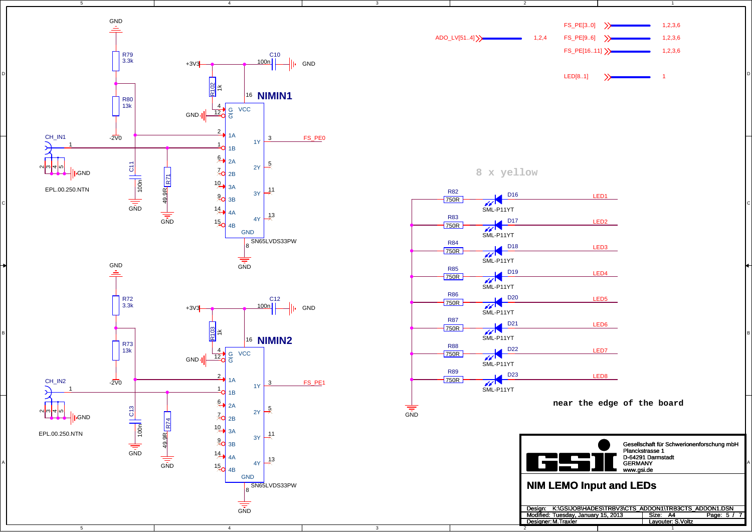



**8 x yellow**

3

3



っ

Designer: M. Traxler

1

M.Traxler **S.Voltz**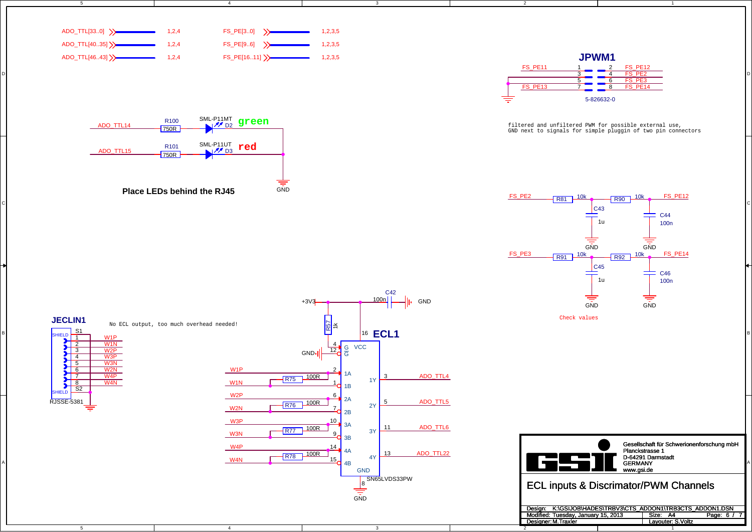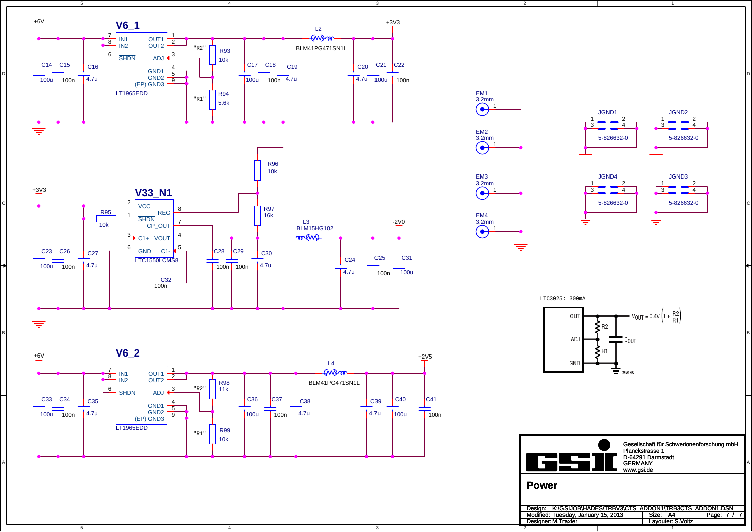

 $\overline{4}$ 

4

3

3

5

D

C

B

A

5

![](_page_6_Figure_1.jpeg)

2

![](_page_6_Figure_2.jpeg)

1

![](_page_6_Figure_3.jpeg)

LTC3025: 300mA

![](_page_6_Figure_5.jpeg)

c<br>IGSS II Gesellschaft für Schwerionenforschung mbH Planckstrasse 1 D-64291 Darmstadt GERMANY www.gsi.de **Power**

 $\overline{\phantom{a}}$ Design: K:\GSIJOB\HADES\TRBV3\CTS\_ADDON1\TRB3CTS\_ADDON1.DSN<br>Modified: Tuesday, January 15, 2013 Size: A4 Page: 7 / 7<br>Designer:M.Traxler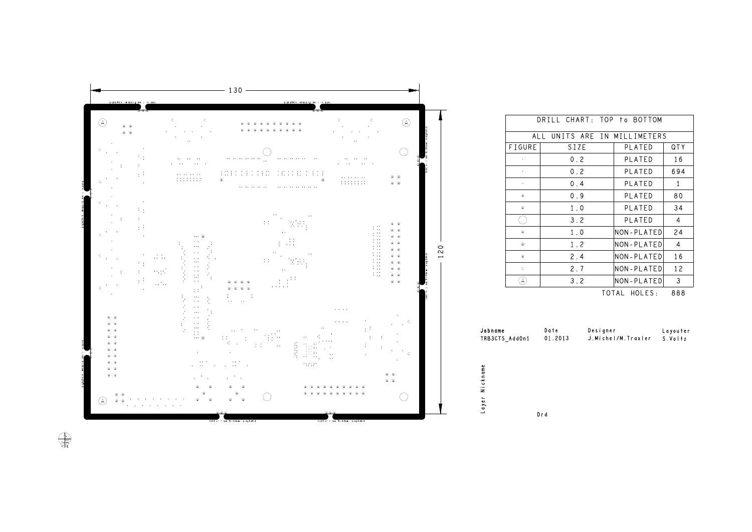![](_page_7_Figure_0.jpeg)

|    |                      | DRILL CHART: TOP to BOTTOM         |                               |                |
|----|----------------------|------------------------------------|-------------------------------|----------------|
|    |                      | ALL UNITS ARE IN MILLIMETERS       |                               |                |
|    | FIGURE               | SIZE                               | PLATED                        | <b>QTY</b>     |
|    |                      | 0.2                                | PLATED                        | 16             |
|    |                      | 0.2                                | PLATED                        | 694            |
|    | $\ddot{\phantom{0}}$ | 0.4                                | PLATED                        | $\mathbf{1}$   |
|    | $^{\circ}$           | 0.9                                | PLATED                        | 80             |
|    | ۰                    | $1 \quad 0$                        | PLATED                        | 34             |
|    |                      | 3.2                                | PLATED                        | $\overline{4}$ |
|    | ۰                    | $1.0$                              | NON-PLATED                    | 24             |
|    | $_{\odot}$           | 1.2                                | NON-PLATED                    | $\overline{4}$ |
|    | ۵                    | 2.4                                | NON-PLATED                    | 16             |
|    | C                    | 2.7                                | NON-PLATED                    | 12             |
|    |                      | 3.2                                | NON-PLATED                    | 3              |
|    |                      |                                    | TOTAL HOLES:                  | 888            |
| me |                      | Date Designer<br>TS AddOn1 01.2013 | J. Michel/M. Traxler S. Voltz | Layouter       |

Drd

 $\begin{picture}(120,110) \put(0,0){\vector(1,0){10}} \put(15,0){\vector(1,0){10}} \put(15,0){\vector(1,0){10}} \put(15,0){\vector(1,0){10}} \put(15,0){\vector(1,0){10}} \put(15,0){\vector(1,0){10}} \put(15,0){\vector(1,0){10}} \put(15,0){\vector(1,0){10}} \put(15,0){\vector(1,0){10}} \put(15,0){\vector(1,0){10}} \put(15,0){\vector(1,0){10}} \put(15,0){\vector$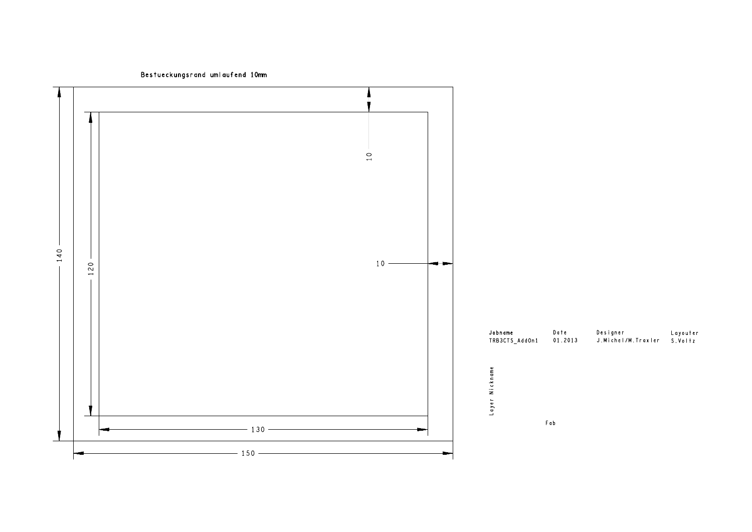Bestueckungsrand umlaufend 10mm

![](_page_8_Figure_1.jpeg)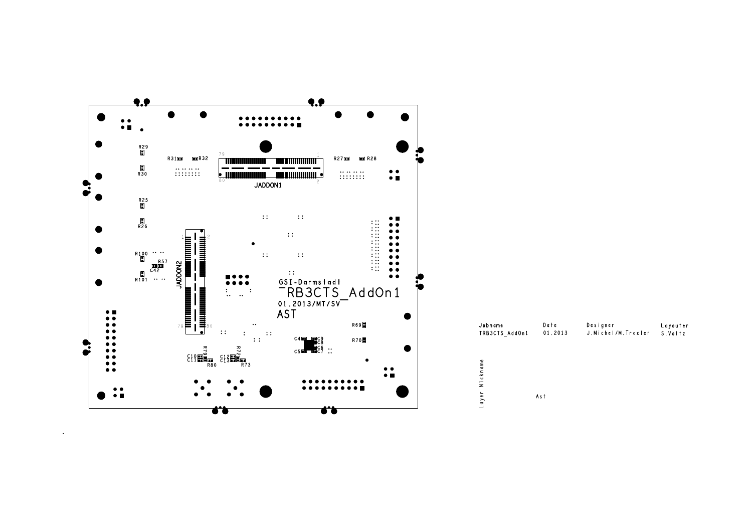![](_page_9_Figure_0.jpeg)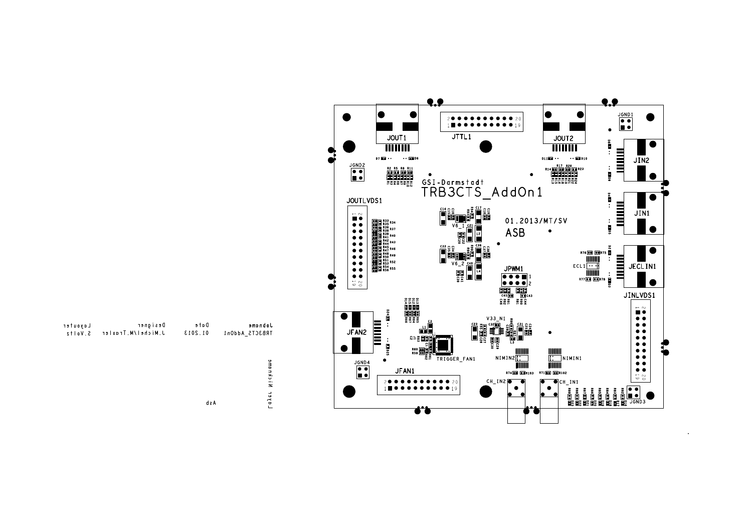![](_page_10_Figure_0.jpeg)

| Layouter   | Designer             | Date    | Jobname            |
|------------|----------------------|---------|--------------------|
| $5. Vo1+z$ | J. Michel/M. Traxler | 01.2013 | TRB3CTS_AddOn1     |
|            |                      |         |                    |
|            |                      |         |                    |
|            |                      |         | ckname             |
|            |                      |         |                    |
|            |                      |         | $-\cdot$<br>$\leq$ |
|            |                      |         | <b>Layer</b>       |
|            |                      | d s A   |                    |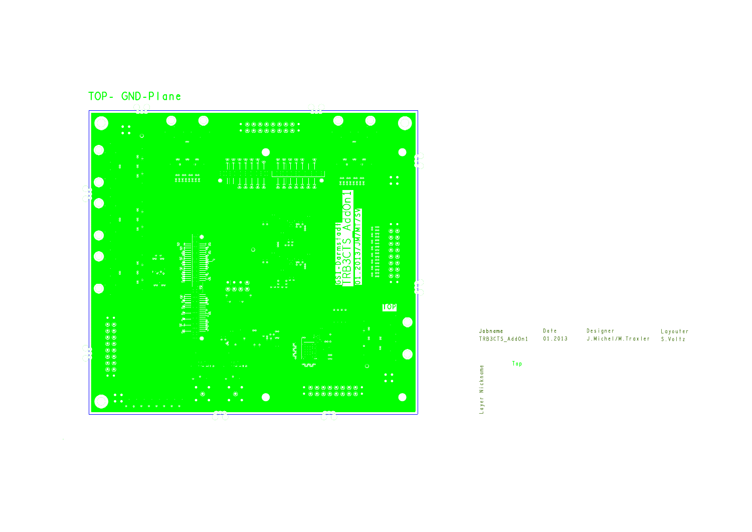![](_page_11_Figure_0.jpeg)

| Jobname                  | Date    | Designer             | Layouter |
|--------------------------|---------|----------------------|----------|
| TRB3CTS AddOn1           | 01.2013 | J. Michel/M. Traxler | S.VoItz  |
| Top<br>Nickname<br>Layer |         |                      |          |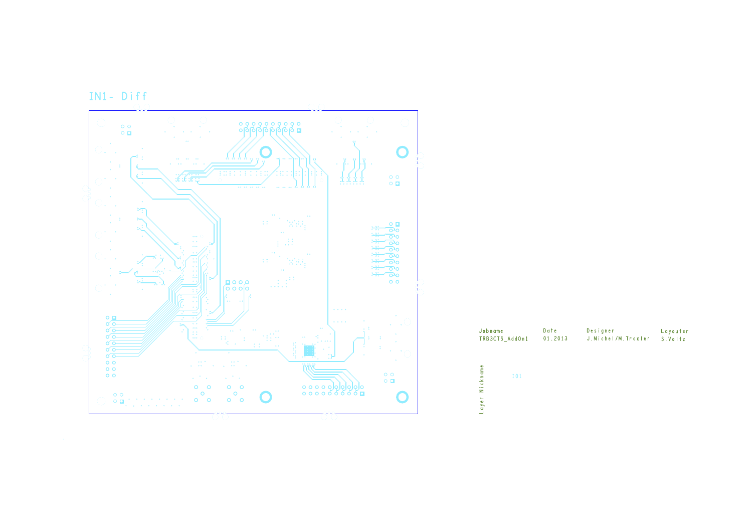![](_page_12_Figure_0.jpeg)

| Jobname                         | Date    | Designer             | Layouter |
|---------------------------------|---------|----------------------|----------|
| TRB3CTS AddOn1                  | 01.2013 | J. Michel/M. Traxler | S.Voltz  |
| Nickname<br><b>IO1</b><br>Layer |         |                      |          |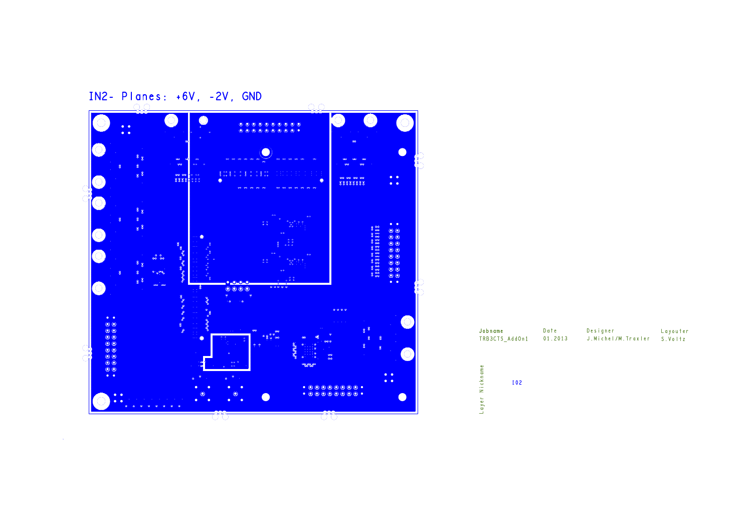![](_page_13_Figure_0.jpeg)

| Jobname                     | Date    | Designer           | Layouter |
|-----------------------------|---------|--------------------|----------|
| TRB3CTS_AddOn1              | 01.2013 | J.Michel/M.Traxler | S.Voltz  |
| ckname<br>102<br>Ξ<br>Layer |         |                    |          |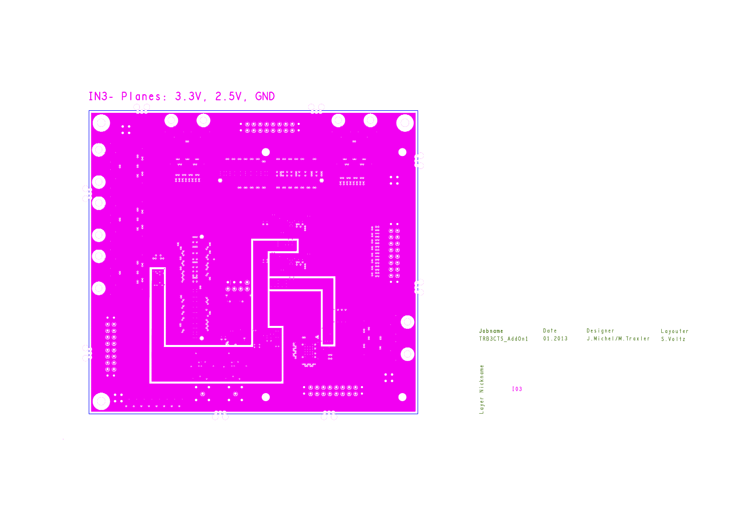![](_page_14_Figure_0.jpeg)

| Jobname                  | Date    | Designer           | Layouter |
|--------------------------|---------|--------------------|----------|
| TRB3CTS AddOn1           | 01.2013 | J.Michel/M.Traxler | S. Voltz |
| Nickname<br>103<br>Layer |         |                    |          |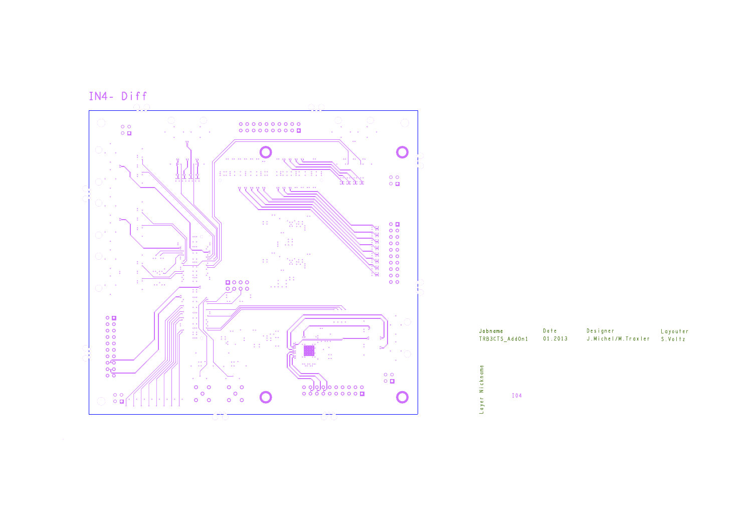![](_page_15_Figure_0.jpeg)

| Jobname                         | Date    | Designer             | Layouter |
|---------------------------------|---------|----------------------|----------|
| TRB3CTS_AddOn1                  | 01.2013 | J. Michel/M. Traxler | S. Voltz |
| Nickname<br><b>I04</b><br>Layer |         |                      |          |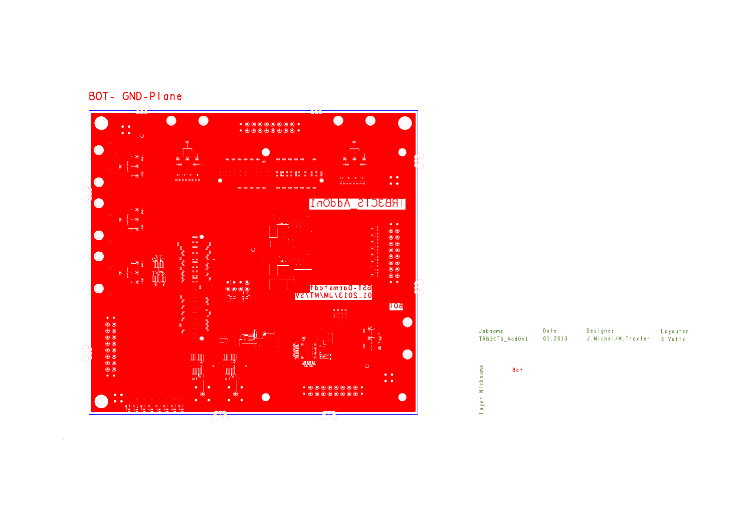![](_page_16_Figure_0.jpeg)

| Jobname               | TRB3CTS AddOn1 | Date<br>01.2013 | Designer<br>J. Michel/M. Traxler | Layouter<br>S. Voltz |
|-----------------------|----------------|-----------------|----------------------------------|----------------------|
| ickname<br>z<br>Layer | Bot            |                 |                                  |                      |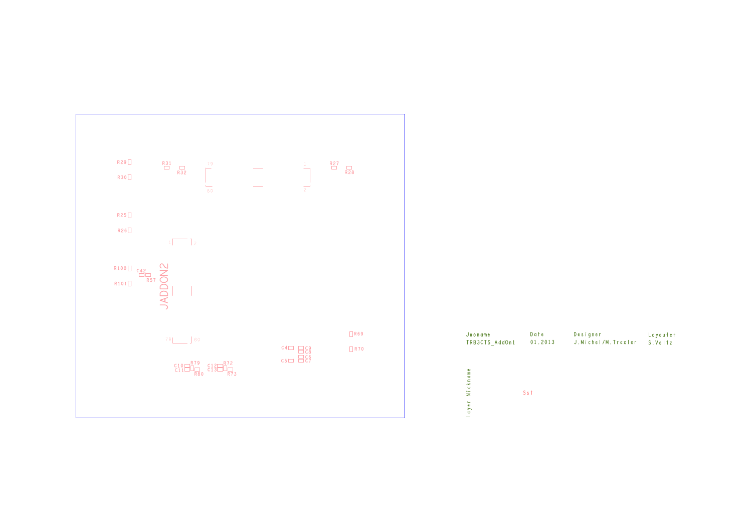![](_page_17_Figure_0.jpeg)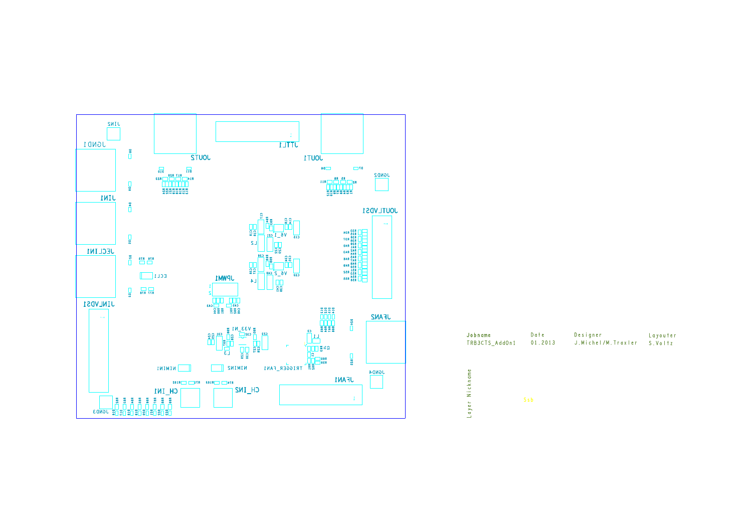![](_page_18_Figure_0.jpeg)

| Jobname<br>TRB3CTS AddOn1                  | Date<br>01.2013 | Designer<br>J.Michel/M.Traxler | Layouter<br>S.VoItz |
|--------------------------------------------|-----------------|--------------------------------|---------------------|
|                                            |                 |                                |                     |
| ckname<br>$\overline{a}$<br>z<br>ayer<br>┙ | Ssb             |                                |                     |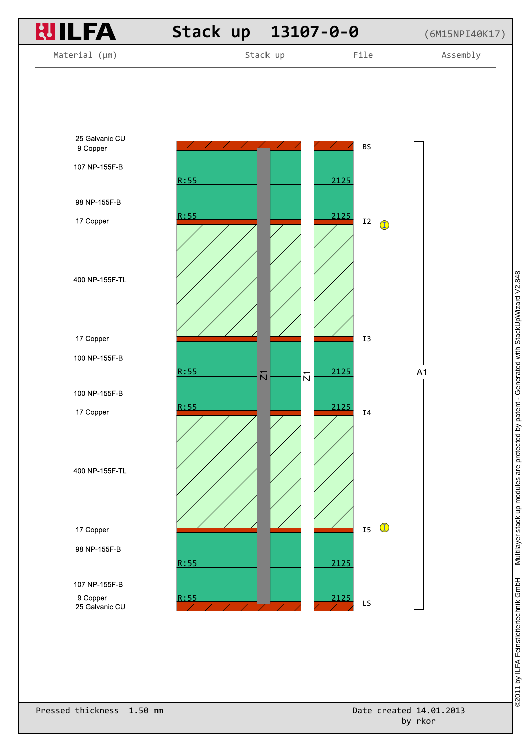![](_page_19_Figure_0.jpeg)

Multilayer stack up modules are protected by patent - Generated with StackUpWizard V2.848 ©2011 by ILFA Feinstleitertechnik GmbH Multilayer stack up modules are protected by patent - Generated with StackUpWizard V2.848@2011 by ILFA Feinstleitertechnik GmbH